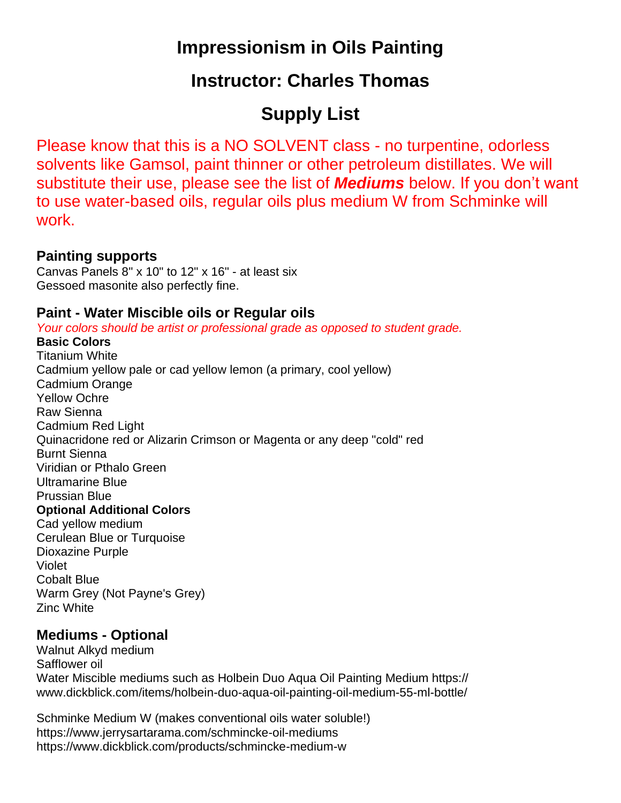## **Impressionism in Oils Painting**

### **Instructor: Charles Thomas**

# **Supply List**

Please know that this is a NO SOLVENT class - no turpentine, odorless solvents like Gamsol, paint thinner or other petroleum distillates. We will substitute their use, please see the list of *Mediums* below. If you don't want to use water-based oils, regular oils plus medium W from Schminke will work.

#### **Painting supports**

Canvas Panels 8" x 10" to 12" x 16" - at least six Gessoed masonite also perfectly fine.

#### **Paint - Water Miscible oils or Regular oils**

*Your colors should be artist or professional grade as opposed to student grade.*

#### **Basic Colors**

Titanium White Cadmium yellow pale or cad yellow lemon (a primary, cool yellow) Cadmium Orange Yellow Ochre Raw Sienna Cadmium Red Light Quinacridone red or Alizarin Crimson or Magenta or any deep "cold" red Burnt Sienna Viridian or Pthalo Green Ultramarine Blue Prussian Blue **Optional Additional Colors** Cad yellow medium Cerulean Blue or Turquoise Dioxazine Purple Violet Cobalt Blue Warm Grey (Not Payne's Grey) Zinc White

### **Mediums - Optional**

Walnut Alkyd medium Safflower oil Water Miscible mediums such as Holbein Duo Aqua Oil Painting Medium https:// www.dickblick.com/items/holbein-duo-aqua-oil-painting-oil-medium-55-ml-bottle/

Schminke Medium W (makes conventional oils water soluble!) https://www.jerrysartarama.com/schmincke-oil-mediums https://www.dickblick.com/products/schmincke-medium-w